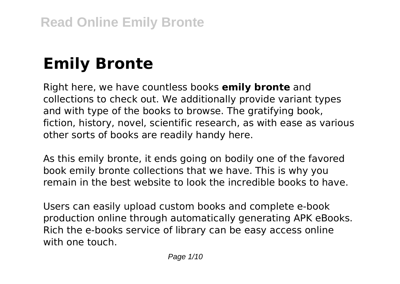# **Emily Bronte**

Right here, we have countless books **emily bronte** and collections to check out. We additionally provide variant types and with type of the books to browse. The gratifying book, fiction, history, novel, scientific research, as with ease as various other sorts of books are readily handy here.

As this emily bronte, it ends going on bodily one of the favored book emily bronte collections that we have. This is why you remain in the best website to look the incredible books to have.

Users can easily upload custom books and complete e-book production online through automatically generating APK eBooks. Rich the e-books service of library can be easy access online with one touch.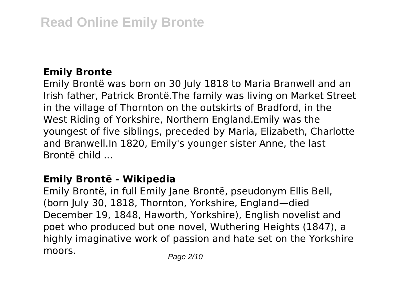# **Emily Bronte**

Emily Brontë was born on 30 July 1818 to Maria Branwell and an Irish father, Patrick Brontë.The family was living on Market Street in the village of Thornton on the outskirts of Bradford, in the West Riding of Yorkshire, Northern England.Emily was the youngest of five siblings, preceded by Maria, Elizabeth, Charlotte and Branwell.In 1820, Emily's younger sister Anne, the last Brontë child ...

## **Emily Brontë - Wikipedia**

Emily Brontë, in full Emily Jane Brontë, pseudonym Ellis Bell, (born July 30, 1818, Thornton, Yorkshire, England—died December 19, 1848, Haworth, Yorkshire), English novelist and poet who produced but one novel, Wuthering Heights (1847), a highly imaginative work of passion and hate set on the Yorkshire moors. Page 2/10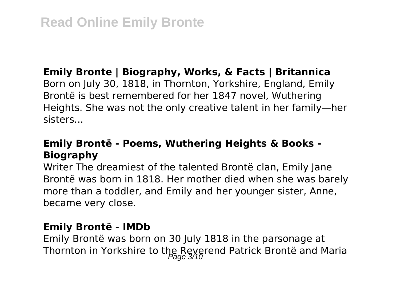## **Emily Bronte | Biography, Works, & Facts | Britannica**

Born on July 30, 1818, in Thornton, Yorkshire, England, Emily Brontë is best remembered for her 1847 novel, Wuthering Heights. She was not the only creative talent in her family—her sisters...

# **Emily Brontë - Poems, Wuthering Heights & Books - Biography**

Writer The dreamiest of the talented Brontë clan, Emily Jane Brontë was born in 1818. Her mother died when she was barely more than a toddler, and Emily and her younger sister, Anne, became very close.

#### **Emily Brontë - IMDb**

Emily Brontë was born on 30 July 1818 in the parsonage at Thornton in Yorkshire to the Reverend Patrick Brontë and Maria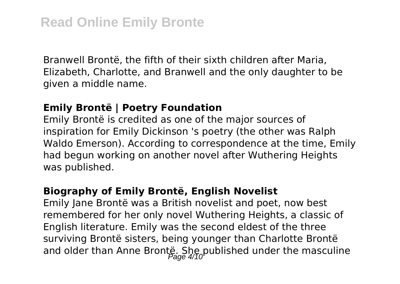Branwell Brontë, the fifth of their sixth children after Maria, Elizabeth, Charlotte, and Branwell and the only daughter to be given a middle name.

#### **Emily Brontë | Poetry Foundation**

Emily Brontë is credited as one of the major sources of inspiration for Emily Dickinson 's poetry (the other was Ralph Waldo Emerson). According to correspondence at the time, Emily had begun working on another novel after Wuthering Heights was published.

#### **Biography of Emily Brontë, English Novelist**

Emily Jane Brontë was a British novelist and poet, now best remembered for her only novel Wuthering Heights, a classic of English literature. Emily was the second eldest of the three surviving Brontë sisters, being younger than Charlotte Brontë and older than Anne Brontë. She published under the masculine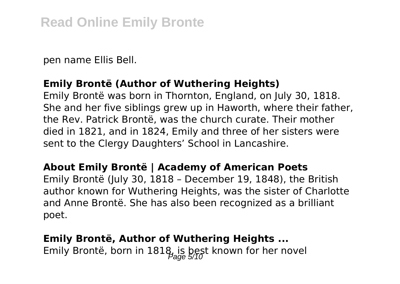pen name Ellis Bell.

#### **Emily Brontë (Author of Wuthering Heights)**

Emily Brontë was born in Thornton, England, on July 30, 1818. She and her five siblings grew up in Haworth, where their father, the Rev. Patrick Brontë, was the church curate. Their mother died in 1821, and in 1824, Emily and three of her sisters were sent to the Clergy Daughters' School in Lancashire.

#### **About Emily Brontë | Academy of American Poets**

Emily Brontë (July 30, 1818 – December 19, 1848), the British author known for Wuthering Heights, was the sister of Charlotte and Anne Brontë. She has also been recognized as a brilliant poet.

# **Emily Brontë, Author of Wuthering Heights ...** Emily Brontë, born in 1818, is best known for her novel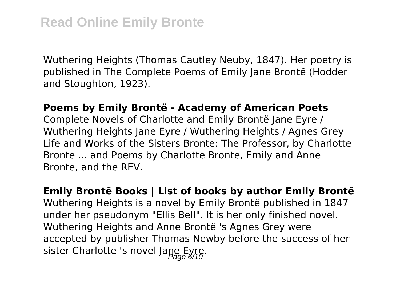Wuthering Heights (Thomas Cautley Neuby, 1847). Her poetry is published in The Complete Poems of Emily Jane Brontë (Hodder and Stoughton, 1923).

#### **Poems by Emily Brontë - Academy of American Poets**

Complete Novels of Charlotte and Emily Brontë Jane Eyre / Wuthering Heights Jane Eyre / Wuthering Heights / Agnes Grey Life and Works of the Sisters Bronte: The Professor, by Charlotte Bronte ... and Poems by Charlotte Bronte, Emily and Anne Bronte, and the REV.

**Emily Brontë Books | List of books by author Emily Brontë** Wuthering Heights is a novel by Emily Brontë published in 1847 under her pseudonym "Ellis Bell". It is her only finished novel. Wuthering Heights and Anne Brontë 's Agnes Grey were accepted by publisher Thomas Newby before the success of her sister Charlotte 's novel Jane Eyre.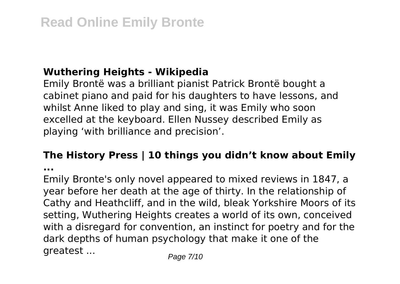# **Wuthering Heights - Wikipedia**

Emily Brontë was a brilliant pianist Patrick Brontë bought a cabinet piano and paid for his daughters to have lessons, and whilst Anne liked to play and sing, it was Emily who soon excelled at the keyboard. Ellen Nussey described Emily as playing 'with brilliance and precision'.

## **The History Press | 10 things you didn't know about Emily**

**...**

Emily Bronte's only novel appeared to mixed reviews in 1847, a year before her death at the age of thirty. In the relationship of Cathy and Heathcliff, and in the wild, bleak Yorkshire Moors of its setting, Wuthering Heights creates a world of its own, conceived with a disregard for convention, an instinct for poetry and for the dark depths of human psychology that make it one of the greatest ... Page 7/10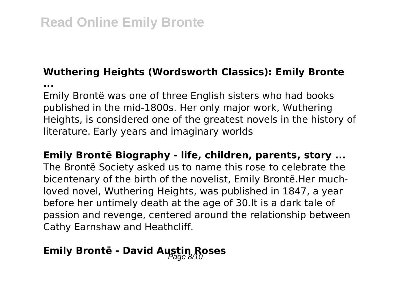# **Wuthering Heights (Wordsworth Classics): Emily Bronte**

**...**

Emily Brontë was one of three English sisters who had books published in the mid-1800s. Her only major work, Wuthering Heights, is considered one of the greatest novels in the history of literature. Early years and imaginary worlds

**Emily Brontë Biography - life, children, parents, story ...** The Brontë Society asked us to name this rose to celebrate the bicentenary of the birth of the novelist, Emily Brontë.Her muchloved novel, Wuthering Heights, was published in 1847, a year before her untimely death at the age of 30.It is a dark tale of passion and revenge, centered around the relationship between Cathy Earnshaw and Heathcliff.

# **Emily Brontë - David Austin Roses**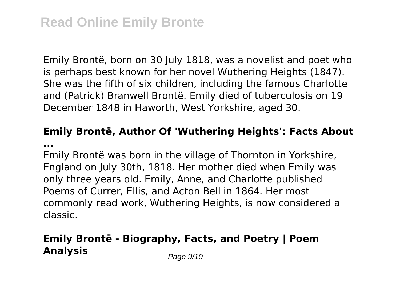Emily Brontë, born on 30 July 1818, was a novelist and poet who is perhaps best known for her novel Wuthering Heights (1847). She was the fifth of six children, including the famous Charlotte and (Patrick) Branwell Brontë. Emily died of tuberculosis on 19 December 1848 in Haworth, West Yorkshire, aged 30.

## **Emily Brontë, Author Of 'Wuthering Heights': Facts About ...**

Emily Brontë was born in the village of Thornton in Yorkshire, England on July 30th, 1818. Her mother died when Emily was only three years old. Emily, Anne, and Charlotte published Poems of Currer, Ellis, and Acton Bell in 1864. Her most commonly read work, Wuthering Heights, is now considered a classic.

# **Emily Brontë - Biography, Facts, and Poetry | Poem Analysis** *Page 9/10*